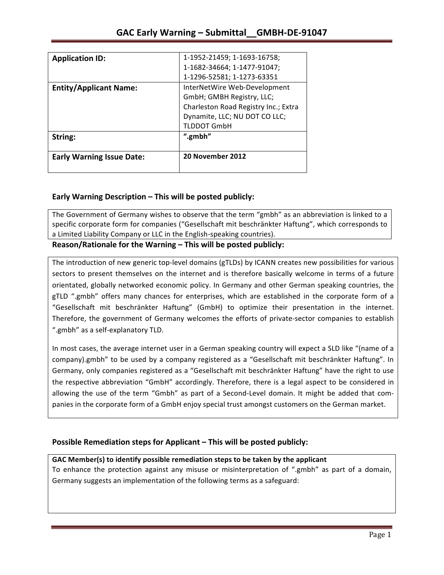| <b>Application ID:</b>           | 1-1952-21459; 1-1693-16758;          |
|----------------------------------|--------------------------------------|
|                                  | 1-1682-34664; 1-1477-91047;          |
|                                  | 1-1296-52581; 1-1273-63351           |
| <b>Entity/Applicant Name:</b>    | InterNetWire Web-Development         |
|                                  | GmbH; GMBH Registry, LLC;            |
|                                  | Charleston Road Registry Inc.; Extra |
|                                  | Dynamite, LLC; NU DOT CO LLC;        |
|                                  | <b>TLDDOT GmbH</b>                   |
| String:                          | ".gmbh"                              |
| <b>Early Warning Issue Date:</b> | 20 November 2012                     |

## **Early Warning Description – This will be posted publicly:**

The Government of Germany wishes to observe that the term "gmbh" as an abbreviation is linked to a specific corporate form for companies ("Gesellschaft mit beschränkter Haftung", which corresponds to a Limited Liability Company or LLC in the English-speaking countries).

Reason/Rationale for the Warning – This will be posted publicly:

The introduction of new generic top-level domains (gTLDs) by ICANN creates new possibilities for various sectors to present themselves on the internet and is therefore basically welcome in terms of a future orientated, globally networked economic policy. In Germany and other German speaking countries, the gTLD ".gmbh" offers many chances for enterprises, which are established in the corporate form of a "Gesellschaft mit beschränkter Haftung" (GmbH) to optimize their presentation in the internet. Therefore, the government of Germany welcomes the efforts of private-sector companies to establish ".gmbh" as a self-explanatory TLD.

In most cases, the average internet user in a German speaking country will expect a SLD like "(name of a company).gmbh" to be used by a company registered as a "Gesellschaft mit beschränkter Haftung". In Germany, only companies registered as a "Gesellschaft mit beschränkter Haftung" have the right to use the respective abbreviation "GmbH" accordingly. Therefore, there is a legal aspect to be considered in allowing the use of the term "Gmbh" as part of a Second-Level domain. It might be added that companies in the corporate form of a GmbH enjoy special trust amongst customers on the German market.

### **Possible Remediation steps for Applicant – This will be posted publicly:**

### GAC Member(s) to identify possible remediation steps to be taken by the applicant

To enhance the protection against any misuse or misinterpretation of ".gmbh" as part of a domain, Germany suggests an implementation of the following terms as a safeguard: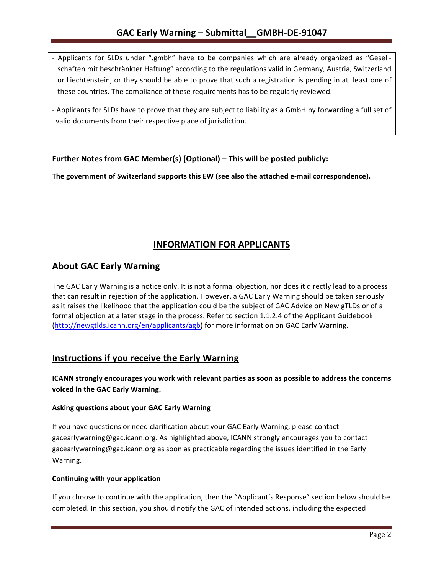- Applicants for SLDs under ".gmbh" have to be companies which are already organized as "Gesellschaften mit beschränkter Haftung" according to the regulations valid in Germany, Austria, Switzerland or Liechtenstein, or they should be able to prove that such a registration is pending in at least one of these countries. The compliance of these requirements has to be regularly reviewed.
- Applicants for SLDs have to prove that they are subject to liability as a GmbH by forwarding a full set of valid documents from their respective place of jurisdiction.

## **Further Notes from GAC Member(s) (Optional) – This will be posted publicly:**

The government of Switzerland supports this EW (see also the attached e-mail correspondence).

# **INFORMATION FOR APPLICANTS**

## **About GAC Early Warning**

The GAC Early Warning is a notice only. It is not a formal objection, nor does it directly lead to a process that can result in rejection of the application. However, a GAC Early Warning should be taken seriously as it raises the likelihood that the application could be the subject of GAC Advice on New gTLDs or of a formal objection at a later stage in the process. Refer to section 1.1.2.4 of the Applicant Guidebook (http://newgtlds.icann.org/en/applicants/agb) for more information on GAC Early Warning.

# **Instructions if you receive the Early Warning**

**ICANN** strongly encourages you work with relevant parties as soon as possible to address the concerns **voiced in the GAC Early Warning.** 

#### **Asking questions about your GAC Early Warning**

If you have questions or need clarification about your GAC Early Warning, please contact gacearlywarning@gac.icann.org. As highlighted above, ICANN strongly encourages you to contact gacearlywarning@gac.icann.org as soon as practicable regarding the issues identified in the Early Warning. 

#### **Continuing with your application**

If you choose to continue with the application, then the "Applicant's Response" section below should be completed. In this section, you should notify the GAC of intended actions, including the expected